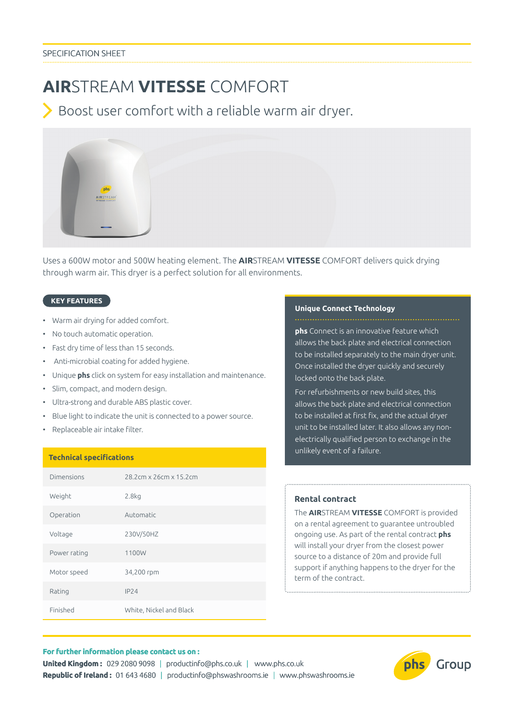# **AIR**STREAM **VITESSE** COMFORT

Boost user comfort with a reliable warm air dryer.



Uses a 600W motor and 500W heating element. The **AIR**STREAM **VITESSE** COMFORT delivers quick drying through warm air. This dryer is a perfect solution for all environments.

## **KEY FEATURES**

- Warm air drying for added comfort.
- No touch automatic operation.
- Fast dry time of less than 15 seconds.
- Anti-microbial coating for added hygiene.
- Unique **phs** click on system for easy installation and maintenance.
- Slim, compact, and modern design.
- Ultra-strong and durable ABS plastic cover.
- Blue light to indicate the unit is connected to a power source.
- Replaceable air intake filter.

## **Technical specifications**

| Dimensions   | 28.2cm x 26cm x 15.2cm  |
|--------------|-------------------------|
| Weight       | 2.8 <sub>kq</sub>       |
| Operation    | Automatic               |
| Voltage      | 230V/50HZ               |
| Power rating | 1100W                   |
| Motor speed  | 34,200 rpm              |
| Rating       | IP24                    |
| Finished     | White, Nickel and Black |

#### **Unique Connect Technology**

**phs** Connect is an innovative feature which allows the back plate and electrical connection to be installed separately to the main dryer unit. Once installed the dryer quickly and securely locked onto the back plate.

For refurbishments or new build sites, this allows the back plate and electrical connection to be installed at first fix, and the actual dryer unit to be installed later. It also allows any nonelectrically qualified person to exchange in the unlikely event of a failure.

## **Rental contract**

The **AIR**STREAM **VITESSE** COMFORT is provided on a rental agreement to guarantee untroubled ongoing use. As part of the rental contract **phs** will install your dryer from the closest power source to a distance of 20m and provide full support if anything happens to the dryer for the term of the contract.

## **For further information please contact us on :**

**United Kingdom :** 029 2080 9098 | productinfo@phs.co.uk | www.phs.co.uk **Republic of Ireland :** 01 643 4680 | productinfo@phswashrooms.ie | www.phswashrooms.ie